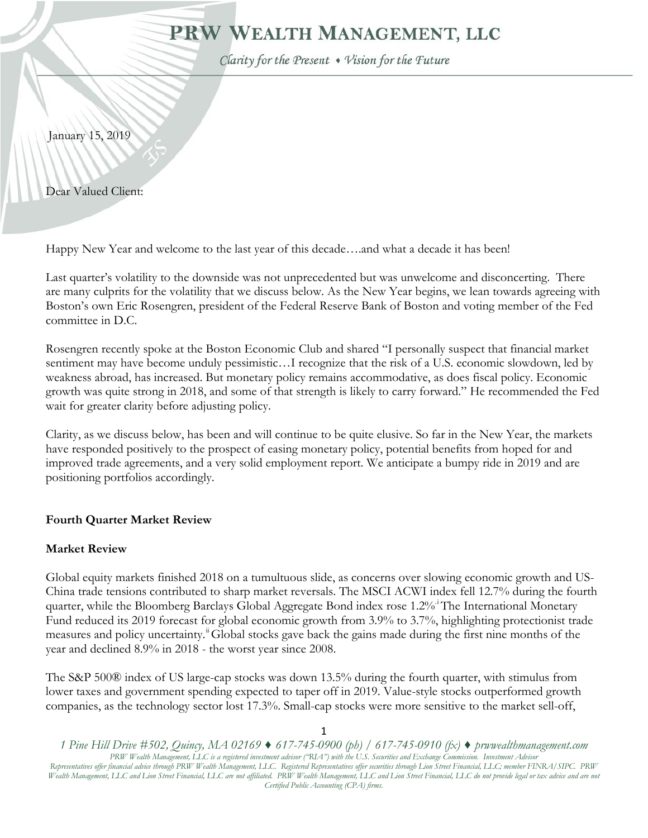# PRW WEALTH MANAGEMENT, LLC

Clarity for the Present . Vision for the Future

January 15, 2019

Dear Valued Client:

Happy New Year and welcome to the last year of this decade….and what a decade it has been!

Last quarter's volatility to the downside was not unprecedented but was unwelcome and disconcerting. There are many culprits for the volatility that we discuss below. As the New Year begins, we lean towards agreeing with Boston's own Eric Rosengren, president of the Federal Reserve Bank of Boston and voting member of the Fed committee in D.C.

Rosengren recently spoke at the Boston Economic Club and shared "I personally suspect that financial market sentiment may have become unduly pessimistic…I recognize that the risk of a U.S. economic slowdown, led by weakness abroad, has increased. But monetary policy remains accommodative, as does fiscal policy. Economic growth was quite strong in 2018, and some of that strength is likely to carry forward." He recommended the Fed wait for greater clarity before adjusting policy.

Clarity, as we discuss below, has been and will continue to be quite elusive. So far in the New Year, the markets have responded positively to the prospect of easing monetary policy, potential benefits from hoped for and improved trade agreements, and a very solid employment report. We anticipate a bumpy ride in 2019 and are positioning portfolios accordingly.

### **Fourth Quarter Market Review**

### **Market Review**

Global equity markets finished 2018 on a tumultuous slide, as concerns over slowing economic growth and US-China trade tensions contributed to sharp market reversals. The MSCI ACWI index fell 12.7% during the fourth quarter, wh[i](#page-6-0)le the Bloomberg Barclays Global Aggregate Bond index rose 1.2% The International Monetary Fund reduced its 2019 forecast for global economic growth from 3.9% to 3.7%, highlighting protectionist trade measures and policy uncertainty.<sup>"</sup>Global stocks gave back the gains made during the first nine months of the year and declined 8.9% in 2018 - the worst year since 2008.

The S&P 500® index of US large-cap stocks was down 13.5% during the fourth quarter, with stimulus from lower taxes and government spending expected to taper off in 2019. Value-style stocks outperformed growth companies, as the technology sector lost 17.3%. Small-cap stocks were more sensitive to the market sell-off,

*<sup>1</sup> Pine Hill Drive #502, Quincy, MA 02169 ♦ 617-745-0900 (ph) / 617-745-0910 (fx) ♦ prwwealthmanagement.com PRW Wealth Management, LLC is a registered investment advisor ("RIA") with the U.S. Securities and Exchange Commission. Investment Advisor Representatives offer financial advice through PRW Wealth Management, LLC. Registered Representatives offer securities through Lion Street Financial, LLC; member FINRA/SIPC. PRW Wealth Management, LLC and Lion Street Financial, LLC are not affiliated. PRW Wealth Management, LLC and Lion Street Financial, LLC do not provide legal or tax advice and are not Certified Public Accounting (CPA) firms.*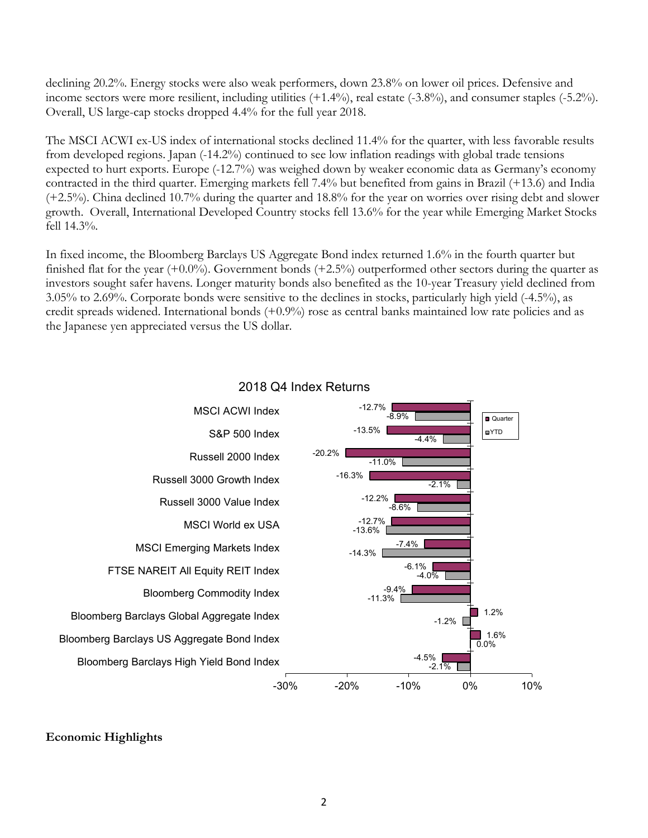declining 20.2%. Energy stocks were also weak performers, down 23.8% on lower oil prices. Defensive and income sectors were more resilient, including utilities (+1.4%), real estate (-3.8%), and consumer staples (-5.2%). Overall, US large-cap stocks dropped 4.4% for the full year 2018.

The MSCI ACWI ex-US index of international stocks declined 11.4% for the quarter, with less favorable results from developed regions. Japan (-14.2%) continued to see low inflation readings with global trade tensions expected to hurt exports. Europe (-12.7%) was weighed down by weaker economic data as Germany's economy contracted in the third quarter. Emerging markets fell 7.4% but benefited from gains in Brazil (+13.6) and India (+2.5%). China declined 10.7% during the quarter and 18.8% for the year on worries over rising debt and slower growth. Overall, International Developed Country stocks fell 13.6% for the year while Emerging Market Stocks fell 14.3%.

In fixed income, the Bloomberg Barclays US Aggregate Bond index returned 1.6% in the fourth quarter but finished flat for the year  $(+0.0\%)$ . Government bonds  $(+2.5\%)$  outperformed other sectors during the quarter as investors sought safer havens. Longer maturity bonds also benefited as the 10-year Treasury yield declined from 3.05% to 2.69%. Corporate bonds were sensitive to the declines in stocks, particularly high yield (-4.5%), as credit spreads widened. International bonds (+0.9%) rose as central banks maintained low rate policies and as the Japanese yen appreciated versus the US dollar.



## 2018 Q4 Index Returns

### **Economic Highlights**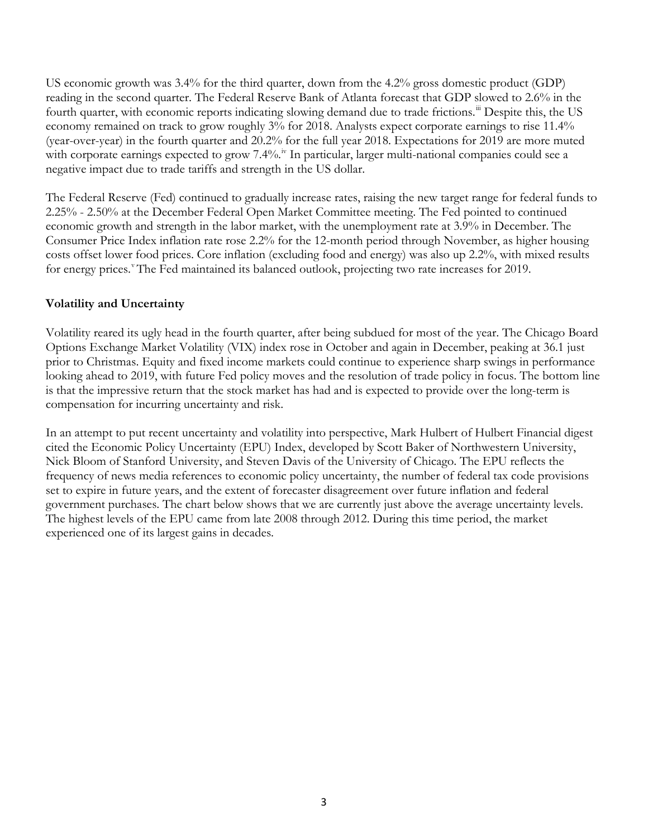US economic growth was 3.4% for the third quarter, down from the 4.2% gross domestic product (GDP) reading in the second quarter. The Federal Reserve Bank of Atlanta forecast that GDP slowed to 2.6% in the fourth quarter, with economic reports indicating slowing demand due to trade frictions.<sup>[iii](#page-6-2)</sup> Despite this, the US economy remained on track to grow roughly 3% for 2018. Analysts expect corporate earnings to rise 11.4% (year-over-year) in the fourth quarter and 20.2% for the full year 2018. Expectations for 2019 are more muted with corporate earnings expected to grow  $7.4\%$ .<sup>[iv](#page-6-3)</sup> In particular, larger multi-national companies could see a negative impact due to trade tariffs and strength in the US dollar.

The Federal Reserve (Fed) continued to gradually increase rates, raising the new target range for federal funds to 2.25% - 2.50% at the December Federal Open Market Committee meeting. The Fed pointed to continued economic growth and strength in the labor market, with the unemployment rate at 3.9% in December. The Consumer Price Index inflation rate rose 2.2% for the 12-month period through November, as higher housing costs offset lower food prices. Core inflation (excluding food and energy) was also up 2.2%, with mixed results for energy prices.<sup>[v](#page-6-4)</sup>The Fed maintained its balanced outlook, projecting two rate increases for 2019.

### **Volatility and Uncertainty**

Volatility reared its ugly head in the fourth quarter, after being subdued for most of the year. The Chicago Board Options Exchange Market Volatility (VIX) index rose in October and again in December, peaking at 36.1 just prior to Christmas. Equity and fixed income markets could continue to experience sharp swings in performance looking ahead to 2019, with future Fed policy moves and the resolution of trade policy in focus. The bottom line is that the impressive return that the stock market has had and is expected to provide over the long-term is compensation for incurring uncertainty and risk.

In an attempt to put recent uncertainty and volatility into perspective, Mark Hulbert of Hulbert Financial digest cited the Economic Policy Uncertainty (EPU) Index, developed by Scott Baker of Northwestern University, Nick Bloom of Stanford University, and Steven Davis of the University of Chicago. The EPU reflects the frequency of news media references to economic policy uncertainty, the number of federal tax code provisions set to expire in future years, and the extent of forecaster disagreement over future inflation and federal government purchases. The chart below shows that we are currently just above the average uncertainty levels. The highest levels of the EPU came from late 2008 through 2012. During this time period, the market experienced one of its largest gains in decades.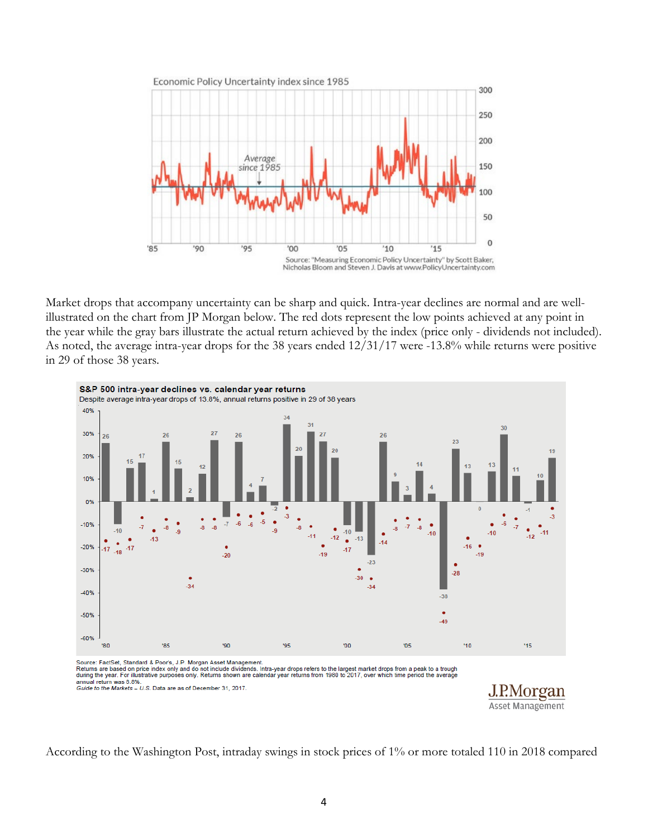

Market drops that accompany uncertainty can be sharp and quick. Intra-year declines are normal and are wellillustrated on the chart from JP Morgan below. The red dots represent the low points achieved at any point in the year while the gray bars illustrate the actual return achieved by the index (price only - dividends not included). As noted, the average intra-year drops for the 38 years ended 12/31/17 were -13.8% while returns were positive in 29 of those 38 years.



According to the Washington Post, intraday swings in stock prices of 1% or more totaled 110 in 2018 compared

Asset Management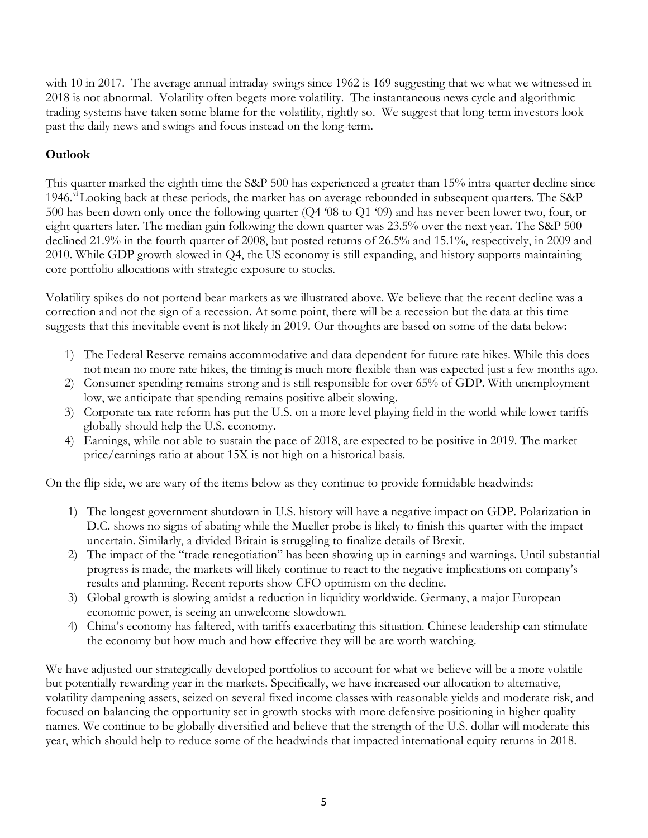with 10 in 2017. The average annual intraday swings since 1962 is 169 suggesting that we what we witnessed in 2018 is not abnormal. Volatility often begets more volatility. The instantaneous news cycle and algorithmic trading systems have taken some blame for the volatility, rightly so. We suggest that long-term investors look past the daily news and swings and focus instead on the long-term.

# **Outlook**

This quarter marked the eighth time the S&P 500 has experienced a greater than 15% intra-quarter decline since 1946.<sup>[vi](#page-6-5)</sup> Looking back at these periods, the market has on average rebounded in subsequent quarters. The S&P 500 has been down only once the following quarter (Q4 '08 to Q1 '09) and has never been lower two, four, or eight quarters later. The median gain following the down quarter was 23.5% over the next year. The S&P 500 declined 21.9% in the fourth quarter of 2008, but posted returns of 26.5% and 15.1%, respectively, in 2009 and 2010. While GDP growth slowed in Q4, the US economy is still expanding, and history supports maintaining core portfolio allocations with strategic exposure to stocks.

Volatility spikes do not portend bear markets as we illustrated above. We believe that the recent decline was a correction and not the sign of a recession. At some point, there will be a recession but the data at this time suggests that this inevitable event is not likely in 2019. Our thoughts are based on some of the data below:

- 1) The Federal Reserve remains accommodative and data dependent for future rate hikes. While this does not mean no more rate hikes, the timing is much more flexible than was expected just a few months ago.
- 2) Consumer spending remains strong and is still responsible for over 65% of GDP. With unemployment low, we anticipate that spending remains positive albeit slowing.
- 3) Corporate tax rate reform has put the U.S. on a more level playing field in the world while lower tariffs globally should help the U.S. economy.
- 4) Earnings, while not able to sustain the pace of 2018, are expected to be positive in 2019. The market price/earnings ratio at about 15X is not high on a historical basis.

On the flip side, we are wary of the items below as they continue to provide formidable headwinds:

- 1) The longest government shutdown in U.S. history will have a negative impact on GDP. Polarization in D.C. shows no signs of abating while the Mueller probe is likely to finish this quarter with the impact uncertain. Similarly, a divided Britain is struggling to finalize details of Brexit.
- 2) The impact of the "trade renegotiation" has been showing up in earnings and warnings. Until substantial progress is made, the markets will likely continue to react to the negative implications on company's results and planning. Recent reports show CFO optimism on the decline.
- 3) Global growth is slowing amidst a reduction in liquidity worldwide. Germany, a major European economic power, is seeing an unwelcome slowdown.
- 4) China's economy has faltered, with tariffs exacerbating this situation. Chinese leadership can stimulate the economy but how much and how effective they will be are worth watching.

We have adjusted our strategically developed portfolios to account for what we believe will be a more volatile but potentially rewarding year in the markets. Specifically, we have increased our allocation to alternative, volatility dampening assets, seized on several fixed income classes with reasonable yields and moderate risk, and focused on balancing the opportunity set in growth stocks with more defensive positioning in higher quality names. We continue to be globally diversified and believe that the strength of the U.S. dollar will moderate this year, which should help to reduce some of the headwinds that impacted international equity returns in 2018.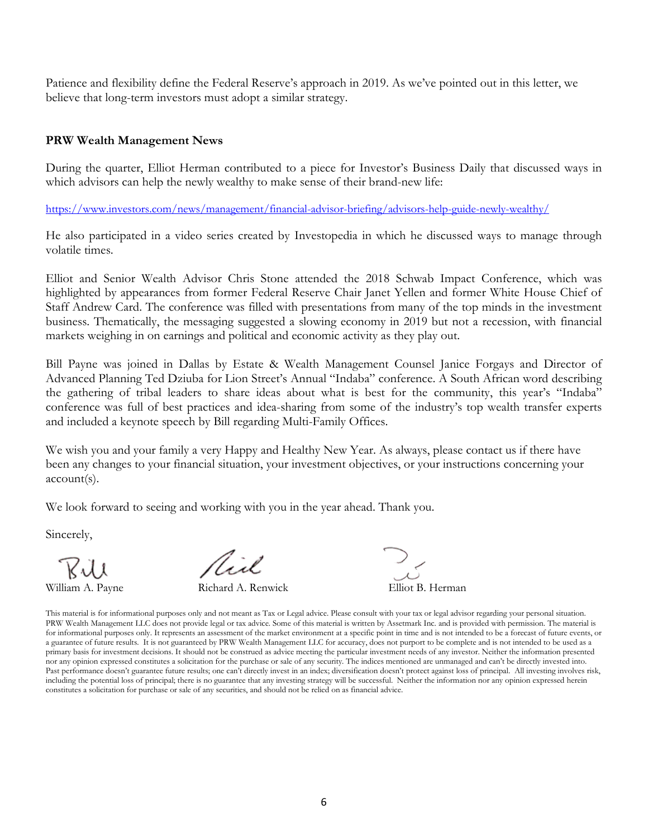Patience and flexibility define the Federal Reserve's approach in 2019. As we've pointed out in this letter, we believe that long-term investors must adopt a similar strategy.

#### **PRW Wealth Management News**

During the quarter, Elliot Herman contributed to a piece for Investor's Business Daily that discussed ways in which advisors can help the newly wealthy to make sense of their brand-new life:

<https://www.investors.com/news/management/financial-advisor-briefing/advisors-help-guide-newly-wealthy/>

He also participated in a video series created by Investopedia in which he discussed ways to manage through volatile times.

Elliot and Senior Wealth Advisor Chris Stone attended the 2018 Schwab Impact Conference, which was highlighted by appearances from former Federal Reserve Chair Janet Yellen and former White House Chief of Staff Andrew Card. The conference was filled with presentations from many of the top minds in the investment business. Thematically, the messaging suggested a slowing economy in 2019 but not a recession, with financial markets weighing in on earnings and political and economic activity as they play out.

Bill Payne was joined in Dallas by Estate & Wealth Management Counsel Janice Forgays and Director of Advanced Planning Ted Dziuba for Lion Street's Annual "Indaba" conference. A South African word describing the gathering of tribal leaders to share ideas about what is best for the community, this year's "Indaba" conference was full of best practices and idea-sharing from some of the industry's top wealth transfer experts and included a keynote speech by Bill regarding Multi-Family Offices.

We wish you and your family a very Happy and Healthy New Year. As always, please contact us if there have been any changes to your financial situation, your investment objectives, or your instructions concerning your account(s).

We look forward to seeing and working with you in the year ahead. Thank you.

Sincerely,

Rill

Nixe

William A. Payne Richard A. Renwick Elliot B. Herman

This material is for informational purposes only and not meant as Tax or Legal advice. Please consult with your tax or legal advisor regarding your personal situation. PRW Wealth Management LLC does not provide legal or tax advice. Some of this material is written by Assetmark Inc. and is provided with permission. The material is for informational purposes only. It represents an assessment of the market environment at a specific point in time and is not intended to be a forecast of future events, or a guarantee of future results. It is not guaranteed by PRW Wealth Management LLC for accuracy, does not purport to be complete and is not intended to be used as a primary basis for investment decisions. It should not be construed as advice meeting the particular investment needs of any investor. Neither the information presented nor any opinion expressed constitutes a solicitation for the purchase or sale of any security. The indices mentioned are unmanaged and can't be directly invested into. Past performance doesn't guarantee future results; one can't directly invest in an index; diversification doesn't protect against loss of principal. All investing involves risk, including the potential loss of principal; there is no guarantee that any investing strategy will be successful. Neither the information nor any opinion expressed herein constitutes a solicitation for purchase or sale of any securities, and should not be relied on as financial advice.